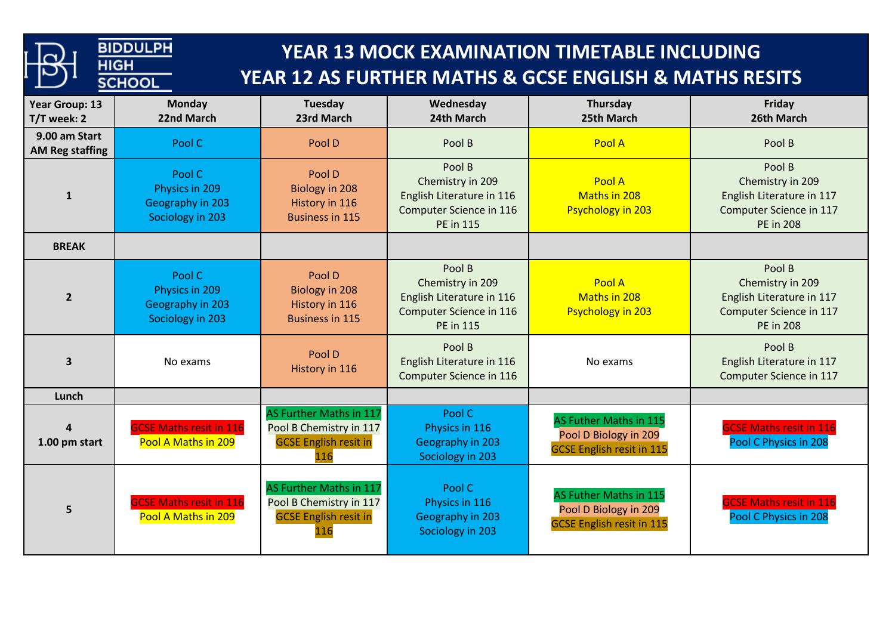| <b>BIDDULPH</b><br>YEAR 13 MOCK EXAMINATION TIMETABLE INCLUDING<br><b>HIGH</b><br>YEAR 12 AS FURTHER MATHS & GCSE ENGLISH & MATHS RESITS<br><b>SCHOOL</b> |                                                                  |                                                                                           |                                                                                                        |                                                                                     |                                                                                                        |  |  |  |
|-----------------------------------------------------------------------------------------------------------------------------------------------------------|------------------------------------------------------------------|-------------------------------------------------------------------------------------------|--------------------------------------------------------------------------------------------------------|-------------------------------------------------------------------------------------|--------------------------------------------------------------------------------------------------------|--|--|--|
| Year Group: 13<br>T/T week: 2                                                                                                                             | <b>Monday</b><br>22nd March                                      | Tuesday<br>23rd March                                                                     | Wednesday<br>24th March                                                                                | Thursday<br>25th March                                                              | Friday<br>26th March                                                                                   |  |  |  |
| 9.00 am Start<br><b>AM Reg staffing</b>                                                                                                                   | Pool C                                                           | Pool D                                                                                    | Pool B                                                                                                 | Pool A                                                                              | Pool B                                                                                                 |  |  |  |
| 1                                                                                                                                                         | Pool C<br>Physics in 209<br>Geography in 203<br>Sociology in 203 | Pool D<br>Biology in 208<br>History in 116<br><b>Business in 115</b>                      | Pool B<br>Chemistry in 209<br>English Literature in 116<br>Computer Science in 116<br><b>PE</b> in 115 | Pool A<br>Maths in 208<br><b>Psychology in 203</b>                                  | Pool B<br>Chemistry in 209<br>English Literature in 117<br>Computer Science in 117<br><b>PE in 208</b> |  |  |  |
| <b>BREAK</b>                                                                                                                                              |                                                                  |                                                                                           |                                                                                                        |                                                                                     |                                                                                                        |  |  |  |
| $\overline{2}$                                                                                                                                            | Pool C<br>Physics in 209<br>Geography in 203<br>Sociology in 203 | Pool D<br>Biology in 208<br>History in 116<br><b>Business in 115</b>                      | Pool B<br>Chemistry in 209<br>English Literature in 116<br>Computer Science in 116<br><b>PE</b> in 115 | Pool A<br>Maths in 208<br><b>Psychology in 203</b>                                  | Pool B<br>Chemistry in 209<br>English Literature in 117<br>Computer Science in 117<br><b>PE in 208</b> |  |  |  |
| $\overline{\mathbf{3}}$                                                                                                                                   | No exams                                                         | Pool D<br>History in 116                                                                  | Pool B<br>English Literature in 116<br>Computer Science in 116                                         | No exams                                                                            | Pool B<br>English Literature in 117<br>Computer Science in 117                                         |  |  |  |
| Lunch                                                                                                                                                     |                                                                  |                                                                                           |                                                                                                        |                                                                                     |                                                                                                        |  |  |  |
| $\overline{\mathbf{4}}$<br>1.00 pm start                                                                                                                  | <b>GCSE Maths resit in 116</b><br>Pool A Maths in 209            | AS Further Maths in 117<br>Pool B Chemistry in 117<br><b>GCSE English resit in</b><br>116 | Pool C<br>Physics in 116<br>Geography in 203<br>Sociology in 203                                       | AS Futher Maths in 115<br>Pool D Biology in 209<br><b>GCSE English resit in 115</b> | <b>GCSE Maths resit in 116</b><br>Pool C Physics in 208                                                |  |  |  |
| 5                                                                                                                                                         | <b>GCSE Maths resit in 116</b><br>Pool A Maths in 209            | AS Further Maths in 117<br>Pool B Chemistry in 117<br><b>GCSE English resit in</b><br>116 | Pool C<br>Physics in 116<br>Geography in 203<br>Sociology in 203                                       | AS Futher Maths in 115<br>Pool D Biology in 209<br><b>GCSE English resit in 115</b> | <b>GCSE Maths resit in 116</b><br>Pool C Physics in 208                                                |  |  |  |

**Contract Contract Contract**